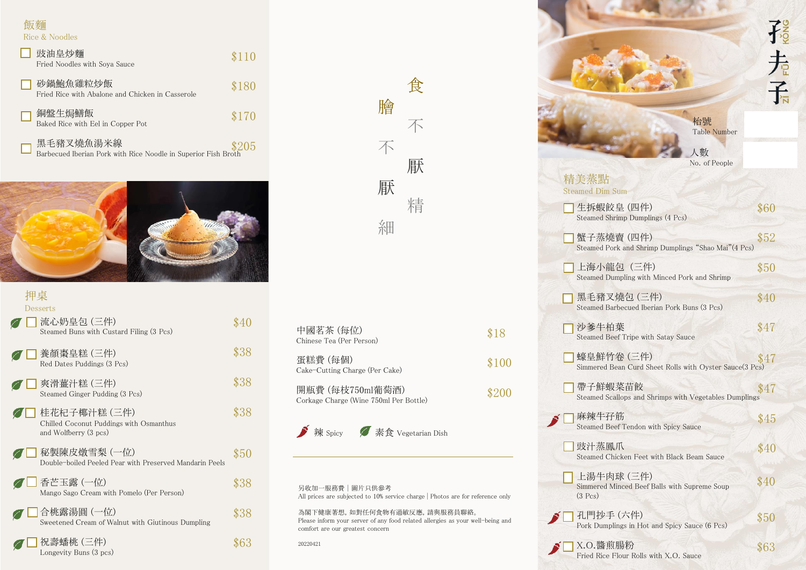飯麵 Rice & Noodles

| 豉油皇炒麵<br>Fried Noodles with Soya Sauce                                      | \$110 |
|-----------------------------------------------------------------------------|-------|
| 砂鍋鮑魚雞粒炒飯<br>Fried Rice with Abalone and Chicken in Casserole                | \$180 |
| 銅盤生焗鱔飯<br>Baked Rice with Eel in Copper Pot                                 | \$170 |
| 黑毛豬叉燒魚湯米線<br>Barbecued Iberian Pork with Rice Noodle in Superior Fish Broth | \$205 |



| Desserts                                                                         |      |
|----------------------------------------------------------------------------------|------|
| 流心奶皇包 (三件)<br>Steamed Buns with Custard Filing (3 Pcs)                           | \$40 |
| 養顏棗皇糕 (三件)<br>Red Dates Puddings (3 Pcs)                                         | \$38 |
| 爽滑薑汁糕 (三件)<br>Steamed Ginger Pudding (3 Pcs)                                     | \$38 |
| 桂花杞子椰汁糕 (三件)<br>Chilled Coconut Puddings with Osmanthus<br>and Wolfberry (3 pcs) | \$38 |
| 秘製陳皮燉雪梨 (一位)<br>Double-boiled Peeled Pear with Preserved Mandarin Peels          | \$50 |
| 香芒玉露 (一位)<br>Mango Sago Cream with Pomelo (Per Person)                           | \$38 |
| 合桃露湯圓 (一位)<br>Sweetened Cream of Walnut with Giutinous Dumpling                  | \$38 |
| 祝壽蟠桃 (三件)<br>Longevity Buns (3 pcs)                                              |      |

|   | 食 |
|---|---|
| 膾 |   |
| 不 | 不 |
|   | 獻 |
| 獻 | 精 |
| 細 |   |

| 中國茗茶 (每位)<br>Chinese Tea (Per Person)                      | \$18  |
|------------------------------------------------------------|-------|
| 蛋糕費 (每個)<br>Cake-Cutting Charge (Per Cake)                 | \$100 |
| 開瓶費 (每枝750ml葡萄酒)<br>Corkage Charge (Wine 750ml Per Bottle) | \$200 |
| 辣 Spicy / 素食 Vegetarian Dish                               |       |

| 另收加一服務費 圖片只供參考                                                               |  |  |  |  |
|------------------------------------------------------------------------------|--|--|--|--|
| All prices are subjected to 10% service charge Photos are for reference only |  |  |  |  |

為閣下健康著想,如對任何食物有過敏反應,請與服務員聯絡。 Please inform your server of any food related allergies as your well-being and comfort are our greatest concern

20220421

|                                                                                   | 长    |
|-----------------------------------------------------------------------------------|------|
|                                                                                   |      |
|                                                                                   | 子    |
|                                                                                   |      |
| 枱號<br><b>Table Number</b>                                                         |      |
| 人數                                                                                |      |
| No. of People<br>精美蒸點                                                             |      |
| Steamed Dim Sum                                                                   |      |
| 生拆蝦餃皇 (四件)<br>Steamed Shrimp Dumplings (4 Pcs)                                    | \$60 |
| 蟹子蒸燒賣 (四件)<br>Steamed Pork and Shrimp Dumplings "Shao Mai"(4 Pcs)                 | \$52 |
| 上海小龍包 (三件)<br>Steamed Dumpling with Minced Pork and Shrimp                        | \$50 |
| 黑毛豬叉燒包 (三件)<br>Steamed Barbecued Iberian Pork Buns (3 Pcs)                        | \$40 |
| 沙爹牛柏葉<br>Steamed Beef Tripe with Satay Sauce                                      | \$47 |
| 蠔皇鮮竹卷 (三件)<br>$$\$47$ Simmered Bean Curd Sheet Rolls with Oyster Sauce<br>(3 Pcs) |      |
| 帶子鮮蝦菜苗餃<br>Steamed Scallops and Shrimps with Vegetables Dumplings                 | \$47 |
| 麻辣牛孖筋<br>Steamed Beef Tendon with Spicy Sauce                                     | \$45 |
| 豉汁蒸鳳爪<br>Steamed Chicken Feet with Black Beam Sauce                               | \$40 |
| 上湯牛肉球 (三件)<br>Simmered Minced Beef Balls with Supreme Soup<br>$(3 \text{ Pcs})$   | \$40 |
| 孔門抄手 (六件)<br>Pork Dumplings in Hot and Spicy Sauce (6 Pcs)                        | \$50 |
| X.O.醬煎腸粉                                                                          | \$63 |

Fried Rice Flour Rolls with X.O. Sauce